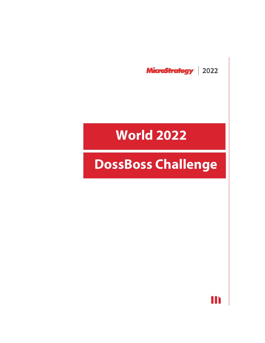MicroStrategy 2022

# **World 2022**

# **DossBoss Challenge**

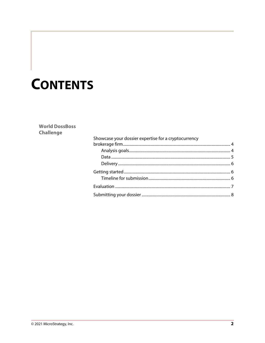# **CONTENTS**

**World DossBoss Challenge** 

| Showcase your dossier expertise for a cryptocurrency |  |
|------------------------------------------------------|--|
|                                                      |  |
|                                                      |  |
|                                                      |  |
|                                                      |  |
|                                                      |  |
|                                                      |  |
|                                                      |  |
|                                                      |  |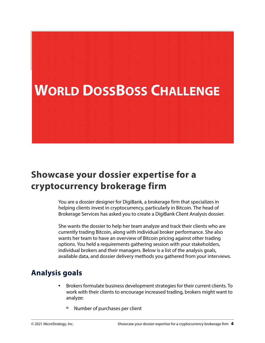# <span id="page-3-0"></span>**WORLD DOSSBOSS CHALLENGE**

## <span id="page-3-1"></span>**Showcase your dossier expertise for a cryptocurrency brokerage firm**

You are a dossier designer for DigiBank, a brokerage firm that specializes in helping clients invest in cryptocurrency, particularly in Bitcoin. The head of Brokerage Services has asked you to create a DigiBank Client Analysis dossier.

She wants the dossier to help her team analyze and track their clients who are currently trading Bitcoin, along with individual broker performance. She also wants her team to have an overview of Bitcoin pricing against other trading options. You held a requirements gathering session with your stakeholders, individual brokers and their managers. Below is a list of the analysis goals, available data, and dossier delivery methods you gathered from your interviews.

### <span id="page-3-2"></span>**Analysis goals**

- **•** Brokers formulate business development strategies for their current clients. To work with their clients to encourage increased trading, brokers might want to analyze:
	- Number of purchases per client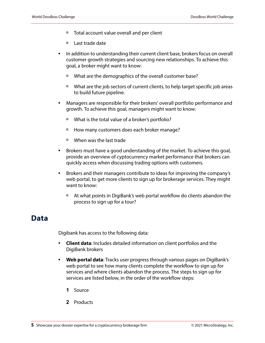- Total account value overall and per client
- Last trade date
- **•** In addition to understanding their current client base, brokers focus on overall customer growth strategies and sourcing new relationships. To achieve this goal, a broker might want to know:
	- What are the demographics of the overall customer base?
	- $\Box$  What are the job sectors of current clients, to help target specific job areas to build future pipeline.
- **•** Managers are responsible for their brokers' overall portfolio performance and growth. To achieve this goal, managers might want to know:
	- What is the total value of a broker's portfolio?
	- <sup>n</sup> How many customers does each broker manage?
	- When was the last trade
- **•** Brokers must have a good understanding of the market. To achieve this goal, provide an overview of cyptocurrency market performance that brokers can quickly access when discussing trading options with customers.
- **•** Brokers and their managers contribute to ideas for improving the company's web portal, to get more clients to sign up for brokerage services. They might want to know:
	- At what points in DigiBank's web portal workflow do clients abandon the process to sign up for a tour?

#### <span id="page-4-0"></span>**Data**

Digibank has access to the following data:

- **• Client data**: Includes detailed information on client portfolios and the DigiBank brokers
- **• Web portal data**: Tracks user progress through various pages on DigiBank's web portal to see how many clients complete the workflow to sign up for services and where clients abandon the process. The steps to sign up for services are listed below, in the order of the workflow steps:
	- **1** Source
	- **2** Products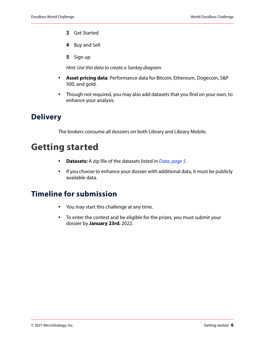- **3** Get Started
- **4** Buy and Sell
- **5** Sign up

Hint: Use this data to create a Sankey diagram.

- **• Asset pricing data**: Performance data for Bitcoin, Ethereum, Dogecoin, S&P 500, and gold.
- **•** Though not required, you may also add datasets that you find on your own, to enhance your analysis.

### <span id="page-5-0"></span>**Delivery**

The brokers consume all dossiers on both Library and Library Mobile.

### <span id="page-5-1"></span>**Getting started**

- **• Datasets:** A zip file of the datasets listed in [Data, page](#page-4-0) 5.
- **•** If you choose to enhance your dossier with additional data, it must be publicly available data.

### <span id="page-5-2"></span>**Timeline for submission**

- **•** You may start this challenge at any time.
- **•** To enter the contest and be eligible for the prizes, you must submit your dossier by **January 23rd**, 2022.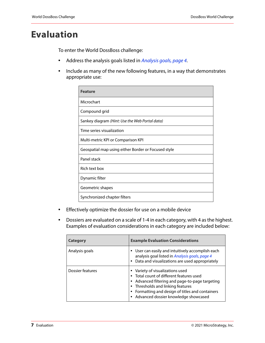## <span id="page-6-0"></span>**Evaluation**

To enter the World DossBoss challenge:

- **•** Address the analysis goals listed in [Analysis goals, page](#page-3-2) 4.
- **•** Include as many of the new following features, in a way that demonstrates appropriate use:

| <b>Feature</b>                                      |
|-----------------------------------------------------|
| Microchart                                          |
| Compound grid                                       |
| Sankey diagram (Hint: Use the Web Portal data)      |
| Time series visualization                           |
| Multi-metric KPI or Comparison KPI                  |
| Geospatial map using either Border or Focused style |
| Panel stack                                         |
| Rich text box                                       |
| Dynamic filter                                      |
| Geometric shapes                                    |
| Synchronized chapter filters                        |

- **•** Effectively optimize the dossier for use on a mobile device
- **•** Dossiers are evaluated on a scale of 1-4 in each category, with 4 as the highest. Examples of evaluation considerations in each category are included below:

| Category         | <b>Example Evaluation Considerations</b>                                                                                                                                                                                                                 |
|------------------|----------------------------------------------------------------------------------------------------------------------------------------------------------------------------------------------------------------------------------------------------------|
| Analysis goals   | User can easily and intuitively accomplish each<br>analysis goal listed in Analysis goals, page 4<br>Data and visualizations are used appropriately                                                                                                      |
| Dossier features | Variety of visualizations used<br>Total count of different features used<br>Advanced filtering and page-to-page targeting<br>Thresholds and linking features<br>• Formatting and design of titles and containers<br>Advanced dossier knowledge showcased |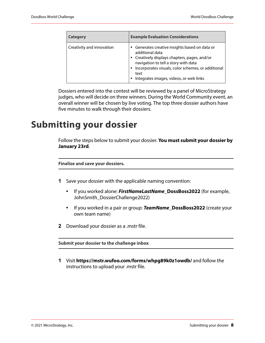| Category                  | <b>Example Evaluation Considerations</b>                                                                                                                                                                                                                            |
|---------------------------|---------------------------------------------------------------------------------------------------------------------------------------------------------------------------------------------------------------------------------------------------------------------|
| Creativity and innovation | • Generates creative insights based on data or<br>additional data<br>• Creatively displays chapters, pages, and/or<br>navigation to tell a story with data<br>Incorporates visuals, color schemes, or additional<br>text<br>Integrates images, videos, or web links |

Dossiers entered into the contest will be reviewed by a panel of MicroStrategy judges, who will decide on three winners. During the World Community event, an overall winner will be chosen by live voting. The top three dossier authors have five minutes to walk through their dossiers.

### <span id="page-7-0"></span>**Submitting your dossier**

Follow the steps below to submit your dossier. **You must submit your dossier by January 23rd**.

```
Finalize and save your dossiers.
```
- **1** Save your dossier with the applicable naming convention:
	- **•** If you worked alone: **FirstNameLastName\_DossBoss2022** (for example, JohnSmith\_DossierChallenge2022)
	- **•** If you worked in a pair or group: **TeamName\_DossBoss2022** (create your own team name)
- **2** Download your dossier as a .mstr file.

**Submit your dossier to the challenge inbox**

**1** Visit **https://mstr.wufoo.com/forms/whpg89k0z1owdb/** and follow the instructions to upload your .mstr file.